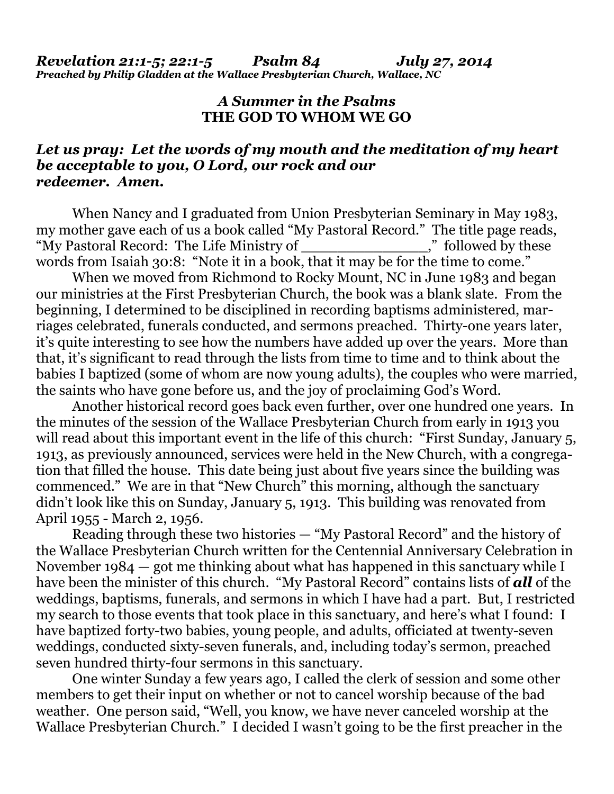## *A Summer in the Psalms* **THE GOD TO WHOM WE GO**

## *Let us pray: Let the words of my mouth and the meditation of my heart be acceptable to you, O Lord, our rock and our redeemer. Amen.*

When Nancy and I graduated from Union Presbyterian Seminary in May 1983, my mother gave each of us a book called "My Pastoral Record." The title page reads, "My Pastoral Record: The Life Ministry of \_\_\_\_\_\_\_\_\_\_\_\_\_\_," followed by these words from Isaiah 30:8: "Note it in a book, that it may be for the time to come."

When we moved from Richmond to Rocky Mount, NC in June 1983 and began our ministries at the First Presbyterian Church, the book was a blank slate. From the beginning, I determined to be disciplined in recording baptisms administered, marriages celebrated, funerals conducted, and sermons preached. Thirty-one years later, it's quite interesting to see how the numbers have added up over the years. More than that, it's significant to read through the lists from time to time and to think about the babies I baptized (some of whom are now young adults), the couples who were married, the saints who have gone before us, and the joy of proclaiming God's Word.

 Another historical record goes back even further, over one hundred one years. In the minutes of the session of the Wallace Presbyterian Church from early in 1913 you will read about this important event in the life of this church: "First Sunday, January 5, 1913, as previously announced, services were held in the New Church, with a congregation that filled the house. This date being just about five years since the building was commenced." We are in that "New Church" this morning, although the sanctuary didn't look like this on Sunday, January 5, 1913. This building was renovated from April 1955 - March 2, 1956.

 Reading through these two histories — "My Pastoral Record" and the history of the Wallace Presbyterian Church written for the Centennial Anniversary Celebration in November 1984 — got me thinking about what has happened in this sanctuary while I have been the minister of this church. "My Pastoral Record" contains lists of *all* of the weddings, baptisms, funerals, and sermons in which I have had a part. But, I restricted my search to those events that took place in this sanctuary, and here's what I found: I have baptized forty-two babies, young people, and adults, officiated at twenty-seven weddings, conducted sixty-seven funerals, and, including today's sermon, preached seven hundred thirty-four sermons in this sanctuary.

 One winter Sunday a few years ago, I called the clerk of session and some other members to get their input on whether or not to cancel worship because of the bad weather. One person said, "Well, you know, we have never canceled worship at the Wallace Presbyterian Church." I decided I wasn't going to be the first preacher in the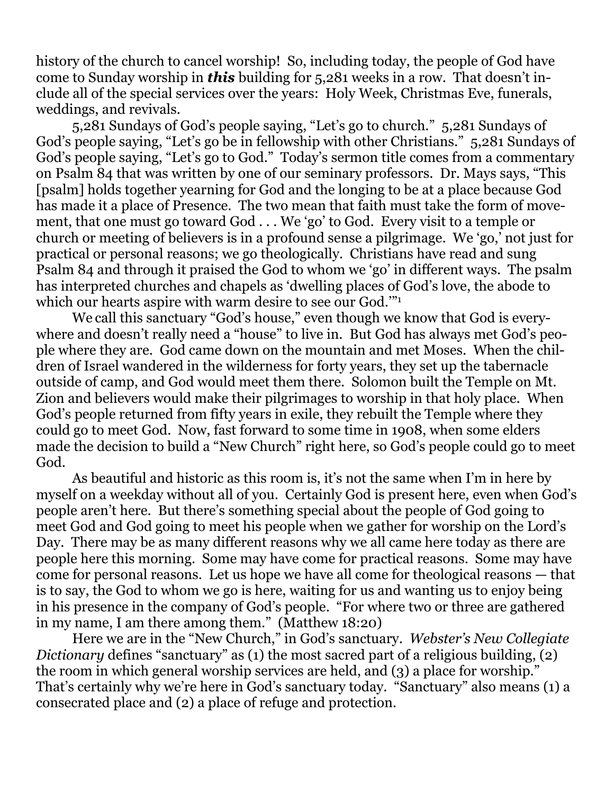history of the church to cancel worship! So, including today, the people of God have come to Sunday worship in *this* building for 5,281 weeks in a row. That doesn't include all of the special services over the years: Holy Week, Christmas Eve, funerals, weddings, and revivals.

 5,281 Sundays of God's people saying, "Let's go to church." 5,281 Sundays of God's people saying, "Let's go be in fellowship with other Christians." 5,281 Sundays of God's people saying, "Let's go to God." Today's sermon title comes from a commentary on Psalm 84 that was written by one of our seminary professors. Dr. Mays says, "This [psalm] holds together yearning for God and the longing to be at a place because God has made it a place of Presence. The two mean that faith must take the form of movement, that one must go toward God . . . We 'go' to God. Every visit to a temple or church or meeting of believers is in a profound sense a pilgrimage. We 'go,' not just for practical or personal reasons; we go theologically. Christians have read and sung Psalm 84 and through it praised the God to whom we 'go' in different ways. The psalm has interpreted churches and chapels as 'dwelling places of God's love, the abode to which our hearts aspire with warm desire to see our God."<sup>1</sup>

We call this sanctuary "God's house," even though we know that God is everywhere and doesn't really need a "house" to live in. But God has always met God's people where they are. God came down on the mountain and met Moses. When the children of Israel wandered in the wilderness for forty years, they set up the tabernacle outside of camp, and God would meet them there. Solomon built the Temple on Mt. Zion and believers would make their pilgrimages to worship in that holy place. When God's people returned from fifty years in exile, they rebuilt the Temple where they could go to meet God. Now, fast forward to some time in 1908, when some elders made the decision to build a "New Church" right here, so God's people could go to meet God.

 As beautiful and historic as this room is, it's not the same when I'm in here by myself on a weekday without all of you. Certainly God is present here, even when God's people aren't here. But there's something special about the people of God going to meet God and God going to meet his people when we gather for worship on the Lord's Day. There may be as many different reasons why we all came here today as there are people here this morning. Some may have come for practical reasons. Some may have come for personal reasons. Let us hope we have all come for theological reasons — that is to say, the God to whom we go is here, waiting for us and wanting us to enjoy being in his presence in the company of God's people. "For where two or three are gathered in my name, I am there among them." (Matthew 18:20)

 Here we are in the "New Church," in God's sanctuary. *Webster's New Collegiate Dictionary* defines "sanctuary" as (1) the most sacred part of a religious building, (2) the room in which general worship services are held, and (3) a place for worship." That's certainly why we're here in God's sanctuary today. "Sanctuary" also means (1) a consecrated place and (2) a place of refuge and protection.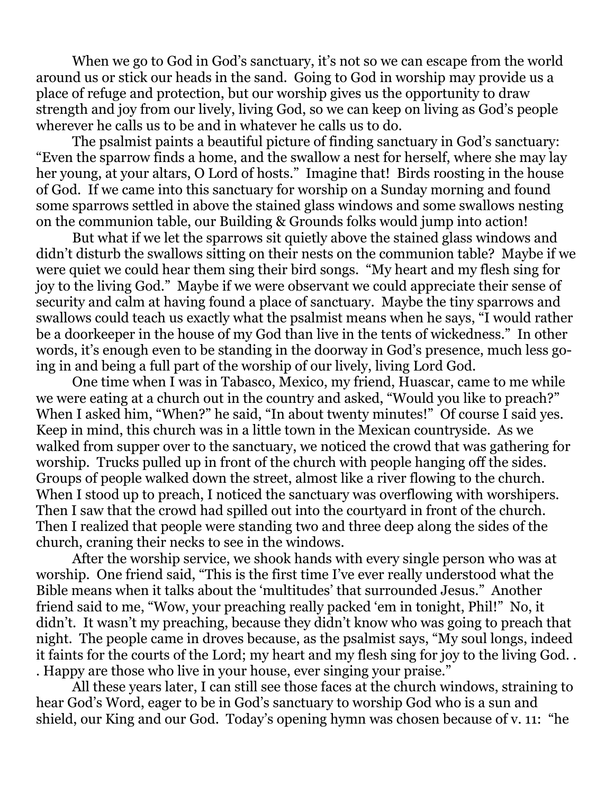When we go to God in God's sanctuary, it's not so we can escape from the world around us or stick our heads in the sand. Going to God in worship may provide us a place of refuge and protection, but our worship gives us the opportunity to draw strength and joy from our lively, living God, so we can keep on living as God's people wherever he calls us to be and in whatever he calls us to do.

 The psalmist paints a beautiful picture of finding sanctuary in God's sanctuary: "Even the sparrow finds a home, and the swallow a nest for herself, where she may lay her young, at your altars, O Lord of hosts." Imagine that! Birds roosting in the house of God. If we came into this sanctuary for worship on a Sunday morning and found some sparrows settled in above the stained glass windows and some swallows nesting on the communion table, our Building & Grounds folks would jump into action!

 But what if we let the sparrows sit quietly above the stained glass windows and didn't disturb the swallows sitting on their nests on the communion table? Maybe if we were quiet we could hear them sing their bird songs. "My heart and my flesh sing for joy to the living God." Maybe if we were observant we could appreciate their sense of security and calm at having found a place of sanctuary. Maybe the tiny sparrows and swallows could teach us exactly what the psalmist means when he says, "I would rather be a doorkeeper in the house of my God than live in the tents of wickedness." In other words, it's enough even to be standing in the doorway in God's presence, much less going in and being a full part of the worship of our lively, living Lord God.

 One time when I was in Tabasco, Mexico, my friend, Huascar, came to me while we were eating at a church out in the country and asked, "Would you like to preach?" When I asked him, "When?" he said, "In about twenty minutes!" Of course I said yes. Keep in mind, this church was in a little town in the Mexican countryside. As we walked from supper over to the sanctuary, we noticed the crowd that was gathering for worship. Trucks pulled up in front of the church with people hanging off the sides. Groups of people walked down the street, almost like a river flowing to the church. When I stood up to preach, I noticed the sanctuary was overflowing with worshipers. Then I saw that the crowd had spilled out into the courtyard in front of the church. Then I realized that people were standing two and three deep along the sides of the church, craning their necks to see in the windows.

 After the worship service, we shook hands with every single person who was at worship. One friend said, "This is the first time I've ever really understood what the Bible means when it talks about the 'multitudes' that surrounded Jesus." Another friend said to me, "Wow, your preaching really packed 'em in tonight, Phil!" No, it didn't. It wasn't my preaching, because they didn't know who was going to preach that night. The people came in droves because, as the psalmist says, "My soul longs, indeed it faints for the courts of the Lord; my heart and my flesh sing for joy to the living God. . . Happy are those who live in your house, ever singing your praise."

 All these years later, I can still see those faces at the church windows, straining to hear God's Word, eager to be in God's sanctuary to worship God who is a sun and shield, our King and our God. Today's opening hymn was chosen because of v. 11: "he